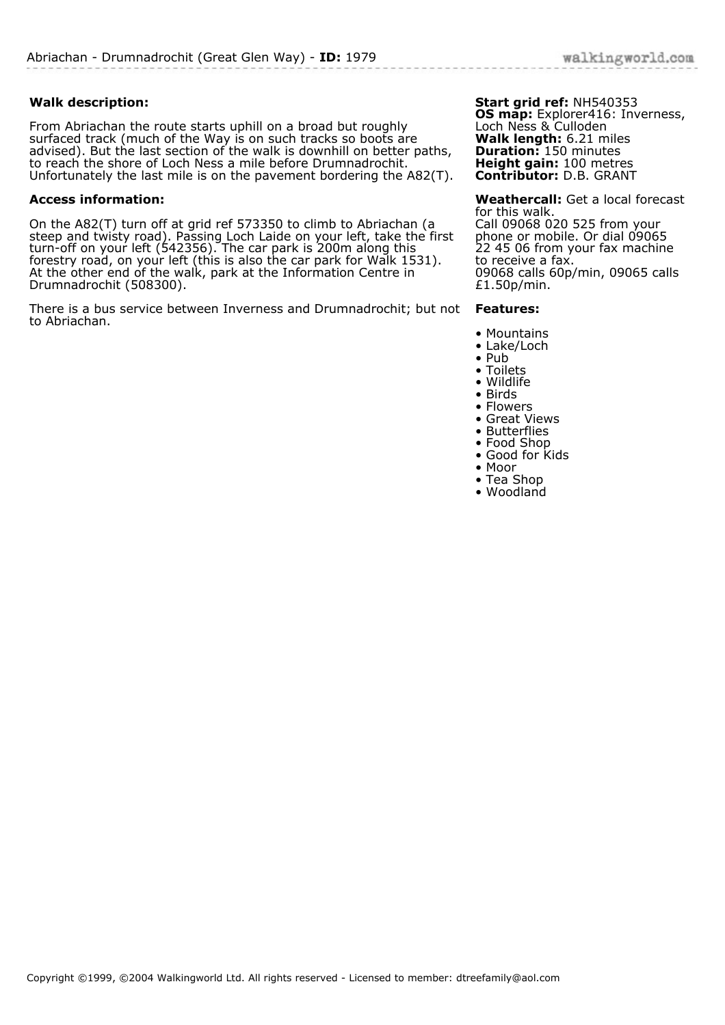## **Walk description:**

From Abriachan the route starts uphill on a broad but roughly surfaced track (much of the Way is on such tracks so boots are advised). But the last section of the walk is downhill on better paths, to reach the shore of Loch Ness a mile before Drumnadrochit. Unfortunately the last mile is on the pavement bordering the A82(T).

## **Access information:**

On the A82(T) turn off at grid ref 573350 to climb to Abriachan (a steep and twisty road). Passing Loch Laide on your left, take the first turn-off on your left (542356). The car park is 200m along this forestry road, on your left (this is also the car park for Walk 1531). At the other end of the walk, park at the Information Centre in Drumnadrochit (508300).

There is a bus service between Inverness and Drumnadrochit; but not **Features:** to Abriachan.

## **Start grid ref:** NH540353

**OS map:** Explorer416: Inverness, Loch Ness & Culloden **Walk length:** 6.21 miles **Duration:** 150 minutes **Height gain:** 100 metres **Contributor:** D.B. GRANT

**Weathercall:** Get a local forecast for this walk. Call 09068 020 525 from your phone or mobile. Or dial 09065 22 45 06 from your fax machine to receive a fax. 09068 calls 60p/min, 09065 calls £1.50p/min.

- Mountains
- Lake/Loch
- Pub
- Toilets • Wildlife
- Birds
- Flowers
- Great Views
- Butterflies
- Food Shop
- Good for Kids
- Moor • Tea Shop
- Woodland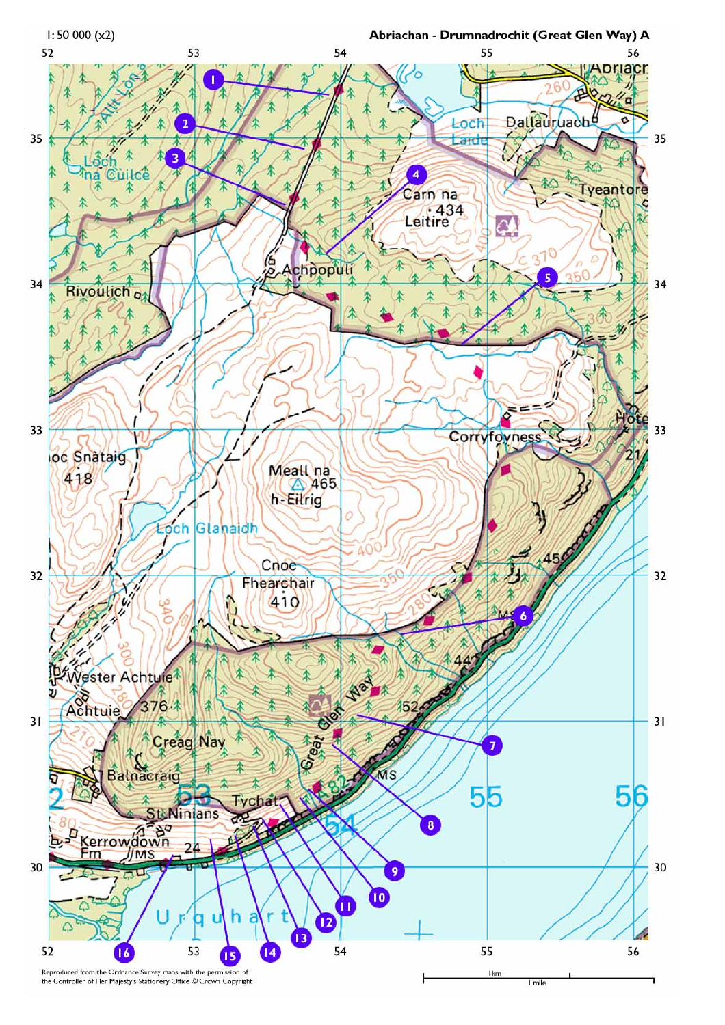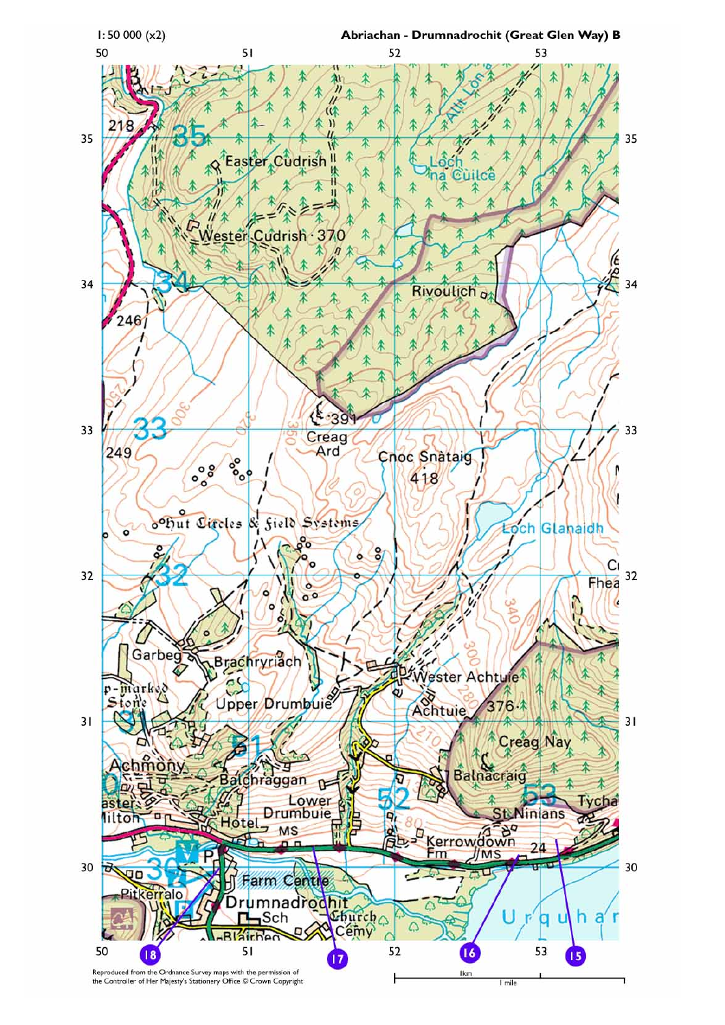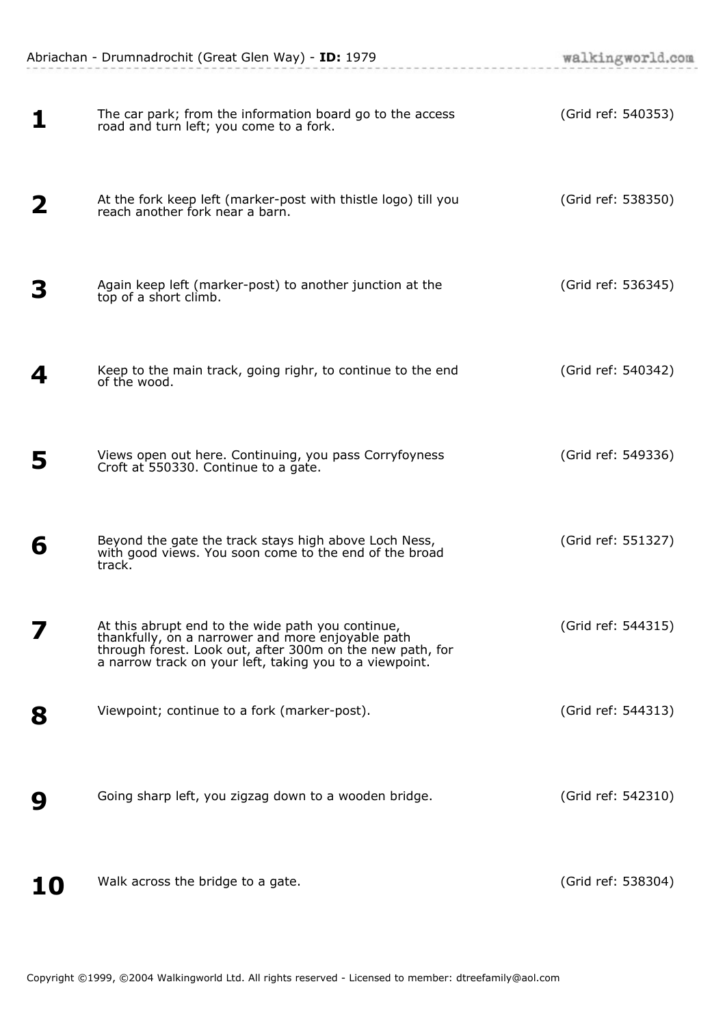|    | Abriachan - Drumnadrochit (Great Glen Way) - ID: 1979                                                                                                                                                                          | walkingworld.com   |
|----|--------------------------------------------------------------------------------------------------------------------------------------------------------------------------------------------------------------------------------|--------------------|
|    | The car park; from the information board go to the access<br>road and turn left; you come to a fork.                                                                                                                           | (Grid ref: 540353) |
|    | At the fork keep left (marker-post with thistle logo) till you<br>reach another fork near a barn.                                                                                                                              | (Grid ref: 538350) |
|    | Again keep left (marker-post) to another junction at the<br>top of a short climb.                                                                                                                                              | (Grid ref: 536345) |
| 4  | Keep to the main track, going righr, to continue to the end<br>of the wood.                                                                                                                                                    | (Grid ref: 540342) |
| 5  | Views open out here. Continuing, you pass Corryfoyness<br>Croft at 550330. Continue to a gate.                                                                                                                                 | (Grid ref: 549336) |
| 6  | Beyond the gate the track stays high above Loch Ness,<br>with good views. You soon come to the end of the broad<br>track.                                                                                                      | (Grid ref: 551327) |
|    | At this abrupt end to the wide path you continue,<br>thankfully, on a narrower and more enjoyable path<br>through forest. Look out, after 300m on the new path, for<br>a narrow track on your left, taking you to a viewpoint. | (Grid ref: 544315) |
| 8  | Viewpoint; continue to a fork (marker-post).                                                                                                                                                                                   | (Grid ref: 544313) |
| 9  | Going sharp left, you zigzag down to a wooden bridge.                                                                                                                                                                          | (Grid ref: 542310) |
| 10 | Walk across the bridge to a gate.                                                                                                                                                                                              | (Grid ref: 538304) |